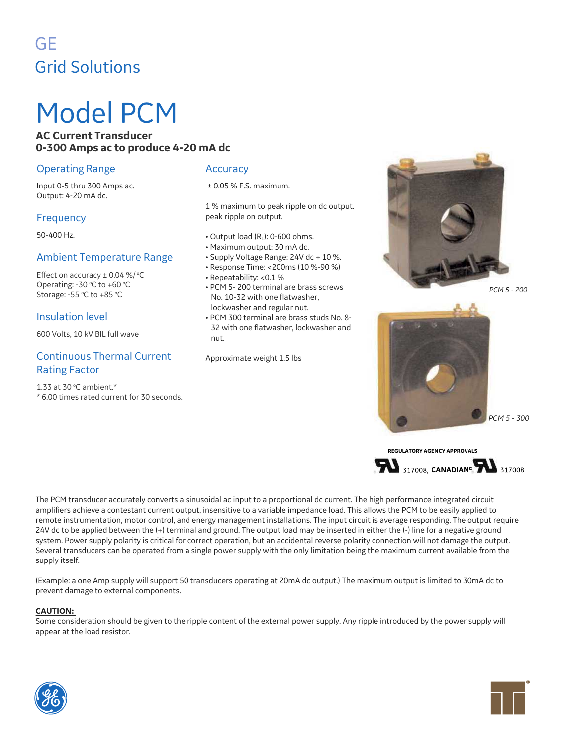# GE Grid Solutions

# Model PCM

## **AC Current Transducer 0-300 Amps ac to produce 4-20 mA dc**

# Operating Range

Input 0-5 thru 300 Amps ac. Output: 4-20 mA dc.

# **Frequency**

50-400 Hz.

# Ambient Temperature Range

Effect on accuracy  $\pm$  0.04 %/ $\degree$ C Operating: -30 $\degree$ C to +60 $\degree$ C Storage: -55  $°C$  to +85  $°C$ 

# Insulation level

600 Volts, 10 kV BIL full wave

# Continuous Thermal Current Rating Factor

1.33 at 30  $°C$  ambient.\* \* 6.00 times rated current for 30 seconds.

## **Accuracy**

± 0.05 % F.S. maximum.

1 % maximum to peak ripple on dc output. peak ripple on output.

- $\cdot$  Output load (R.): 0-600 ohms.
- Maximum output: 30 mA dc.
- Supply Voltage Range: 24V dc + 10 %.
- Response Time: <200ms (10 %-90 %)
- Repeatability: <0.1 %
- PCM 5- 200 terminal are brass screws No. 10-32 with one flatwasher, lockwasher and regular nut.
- PCM 300 terminal are brass studs No. 8- 32 with one flatwasher, lockwasher and nut.

Approximate weight 1.5 lbs



*PCM 5 - 200*



*PCM 5 - 300*

**REGULATORY AGENCY APPROVALS**



The PCM transducer accurately converts a sinusoidal ac input to a proportional dc current. The high performance integrated circuit amplifiers achieve a contestant current output, insensitive to a variable impedance load. This allows the PCM to be easily applied to remote instrumentation, motor control, and energy management installations. The input circuit is average responding. The output require 24V dc to be applied between the (+) terminal and ground. The output load may be inserted in either the (-) line for a negative ground system. Power supply polarity is critical for correct operation, but an accidental reverse polarity connection will not damage the output. Several transducers can be operated from a single power supply with the only limitation being the maximum current available from the supply itself.

(Example: a one Amp supply will support 50 transducers operating at 20mA dc output.) The maximum output is limited to 30mA dc to prevent damage to external components.

#### **CAUTION:**

Some consideration should be given to the ripple content of the external power supply. Any ripple introduced by the power supply will appear at the load resistor.

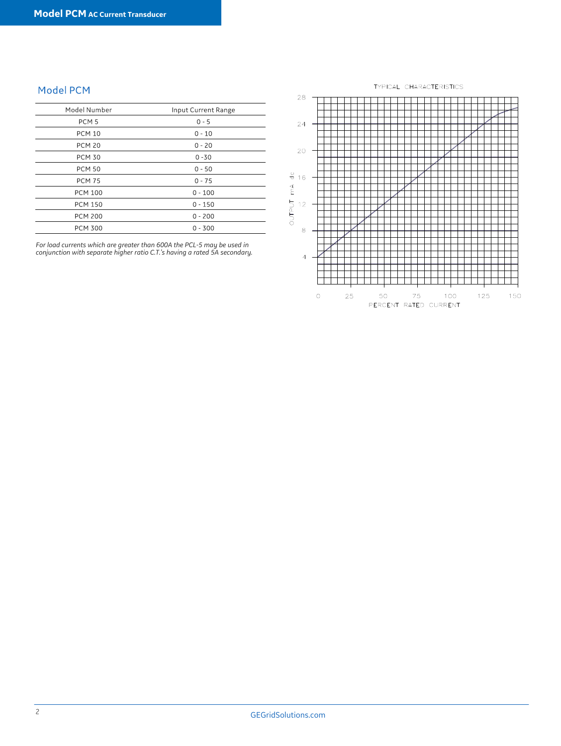# Model PCM

| Model Number     | Input Current Range |
|------------------|---------------------|
| PCM <sub>5</sub> | $0 - 5$             |
| <b>PCM 10</b>    | $0 - 10$            |
| <b>PCM 20</b>    | $0 - 20$            |
| <b>PCM 30</b>    | $0 - 30$            |
| <b>PCM 50</b>    | $0 - 50$            |
| <b>PCM 75</b>    | $0 - 75$            |
| <b>PCM 100</b>   | $0 - 100$           |
| <b>PCM 150</b>   | $0 - 150$           |
| <b>PCM 200</b>   | $0 - 200$           |
| <b>PCM 300</b>   | $0 - 300$           |

*For load currents which are greater than 600A the PCL-5 may be used in conjunction with separate higher ratio C.T.'s having a rated 5A secondary.*

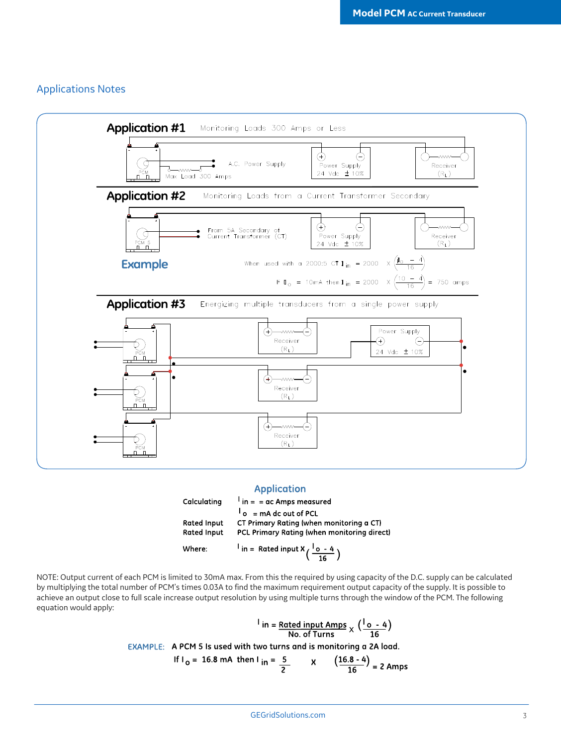#### Applications Notes



#### **Application**

| Calculating        | $\frac{1}{2}$ in = = ac Amps measured                            |
|--------------------|------------------------------------------------------------------|
|                    | $\begin{bmatrix} 1 \\ 0 \end{bmatrix}$ = mA dc out of PCL        |
| <b>Rated Input</b> | CT Primary Rating (when monitoring a CT)                         |
| <b>Rated Input</b> | PCL Primary Rating (when monitoring direct)                      |
| Where:             | <sup>1</sup> in = Rated input $X\left(\frac{1_{o}-4}{16}\right)$ |

NOTE: Output current of each PCM is limited to 30mA max. From this the required by using capacity of the D.C. supply can be calculated by multiplying the total number of PCM's times 0.03A to find the maximum requirement output capacity of the supply. It is possible to achieve an output close to full scale increase output resolution by using multiple turns through the window of the PCM. The following equation would apply:

$$
\frac{1}{n} = \frac{Rated input Amps}{No. of Turns} \times \frac{10 - 4}{16}
$$

EXAMPLE: A PCM 5 Is used with two turns and is monitoring a 2A load.

If I<sub>o</sub> = 16.8 mA then I<sub>in</sub> = 
$$
\frac{5}{2}
$$
 X  $(\frac{16.8 - 4}{16})$  = 2 Amps